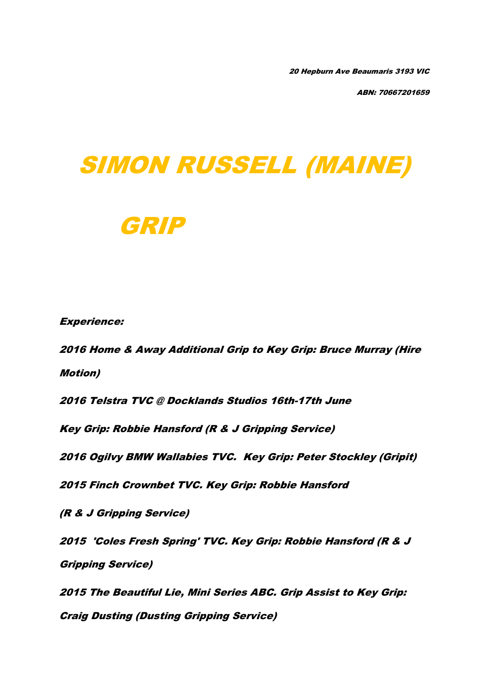20 Hepburn Ave Beaumaris 3193 VIC

ABN: 70667201659

## SIMON RUSSELL (MAINE)



Experience:

2016 Home & Away Additional Grip to Key Grip: Bruce Murray (Hire Motion)

2016 Telstra TVC @ Docklands Studios 16th-17th June

Key Grip: Robbie Hansford (R & J Gripping Service)

2016 Ogilvy BMW Wallabies TVC. Key Grip: Peter Stockley (Gripit)

2015 Finch Crownbet TVC. Key Grip: Robbie Hansford

(R & J Gripping Service)

2015 'Coles Fresh Spring' TVC. Key Grip: Robbie Hansford (R & J Gripping Service)

2015 The Beautiful Lie, Mini Series ABC. Grip Assist to Key Grip: Craig Dusting (Dusting Gripping Service)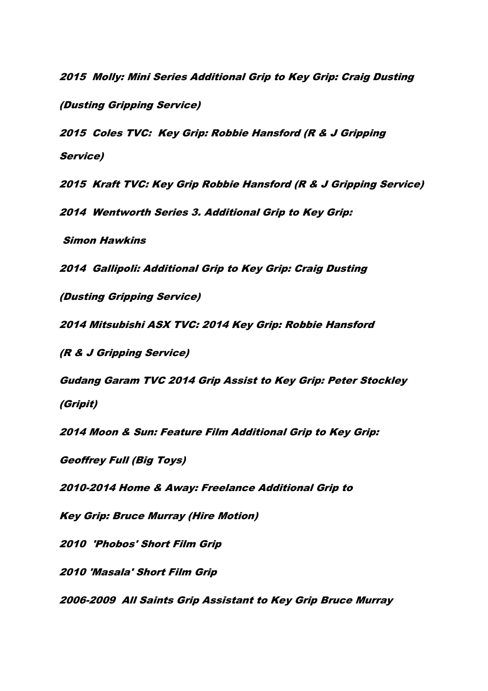2015 Molly: Mini Series Additional Grip to Key Grip: Craig Dusting (Dusting Gripping Service)

2015 Coles TVC: Key Grip: Robbie Hansford (R & J Gripping Service)

2015 Kraft TVC: Key Grip Robbie Hansford (R & J Gripping Service)

2014 Wentworth Series 3. Additional Grip to Key Grip:

Simon Hawkins

2014 Gallipoli: Additional Grip to Key Grip: Craig Dusting

(Dusting Gripping Service)

2014 Mitsubishi ASX TVC: 2014 Key Grip: Robbie Hansford

(R & J Gripping Service)

Gudang Garam TVC 2014 Grip Assist to Key Grip: Peter Stockley (Gripit)

2014 Moon & Sun: Feature Film Additional Grip to Key Grip:

Geoffrey Full (Big Toys)

2010-2014 Home & Away: Freelance Additional Grip to

Key Grip: Bruce Murray (Hire Motion)

2010 'Phobos' Short Film Grip

2010 'Masala' Short Film Grip

2006-2009 All Saints Grip Assistant to Key Grip Bruce Murray